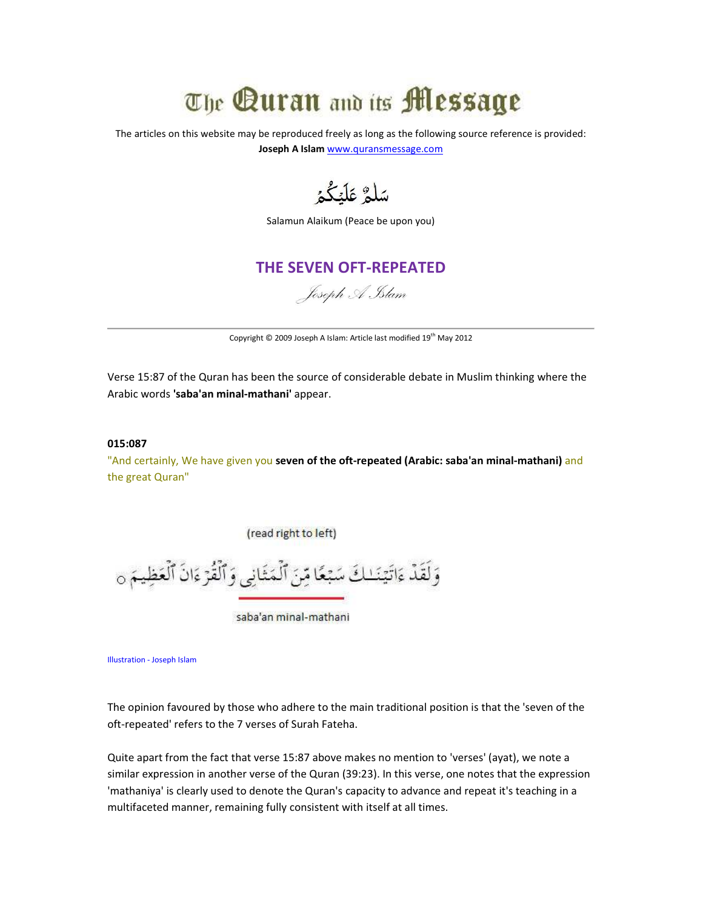# The Quran and its **Message**

The articles on this website may be reproduced freely as long as the following source reference is provided: Joseph A Islam www.quransmessage.com

سَلَّمُّ عَلَيْكُمُ

Salamun Alaikum (Peace be upon you)

# THE SEVEN OFT-REPEATED

# Joseph A Islam

Copyright © 2009 Joseph A Islam: Article last modified 19<sup>th</sup> May 2012

Verse 15:87 of the Quran has been the source of considerable debate in Muslim thinking where the Arabic words 'saba'an minal-mathani' appear.

### 015:087

"And certainly, We have given you seven of the oft-repeated (Arabic: saba'an minal-mathani) and the great Quran"

(read right to left)

وَلَقَدْ ءَاتَيْنَـٰكَ سَبْعًا مِّنَ ٱلْمَثَانِي وَٱلْقُرْءَانَ ٱلْعَظِيمَ ٥

saba'an minal-mathani

Illustration - Joseph Islam

The opinion favoured by those who adhere to the main traditional position is that the 'seven of the oft-repeated' refers to the 7 verses of Surah Fateha.

Quite apart from the fact that verse 15:87 above makes no mention to 'verses' (ayat), we note a similar expression in another verse of the Quran (39:23). In this verse, one notes that the expression 'mathaniya' is clearly used to denote the Quran's capacity to advance and repeat it's teaching in a multifaceted manner, remaining fully consistent with itself at all times.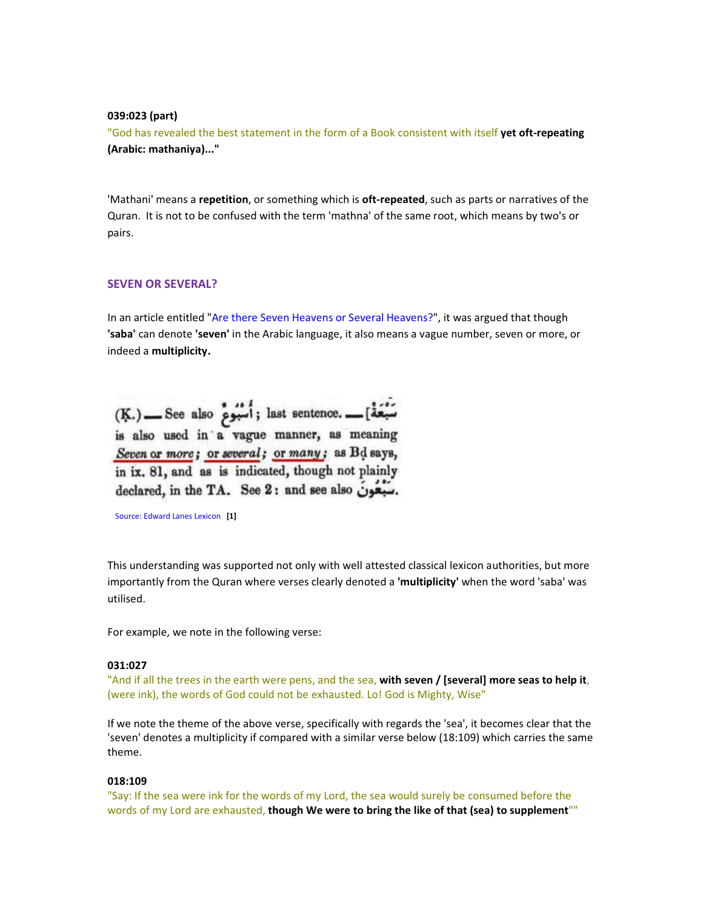#### 039:023 (part)

"God has revealed the best statement in the form of a Book consistent with itself yet oft-repeating (Arabic: mathaniya)..."

'Mathani' means a repetition, or something which is oft-repeated, such as parts or narratives of the Quran. It is not to be confused with the term 'mathna' of the same root, which means by two's or pairs.

# SEVEN OR SEVERAL?

In an article entitled "Are there Seven Heavens or Several Heavens?", it was argued that though 'saba' can denote 'seven' in the Arabic language, it also means a vague number, seven or more, or indeed a multiplicity.

(K.) \_\_ See also أَسْبُومٌ (K.) .\_\_ See also ; أَسْبُومٌ is also used in a vague manner, as meaning Seven or more; or several; or many; as Bd says, in ix. 81, and as is indicated, though not plainly declared, in the TA. See 2: and see also ...

Source: Edward Lanes Lexicon [1]

This understanding was supported not only with well attested classical lexicon authorities, but more importantly from the Quran where verses clearly denoted a 'multiplicity' when the word 'saba' was utilised.

For example, we note in the following verse:

#### 031:027

"And if all the trees in the earth were pens, and the sea, with seven / [several] more seas to help it, (were ink), the words of God could not be exhausted. Lo! God is Mighty, Wise"

If we note the theme of the above verse, specifically with regards the 'sea', it becomes clear that the 'seven' denotes a multiplicity if compared with a similar verse below (18:109) which carries the same theme.

#### 018:109

"Say: If the sea were ink for the words of my Lord, the sea would surely be consumed before the words of my Lord are exhausted, though We were to bring the like of that (sea) to supplement""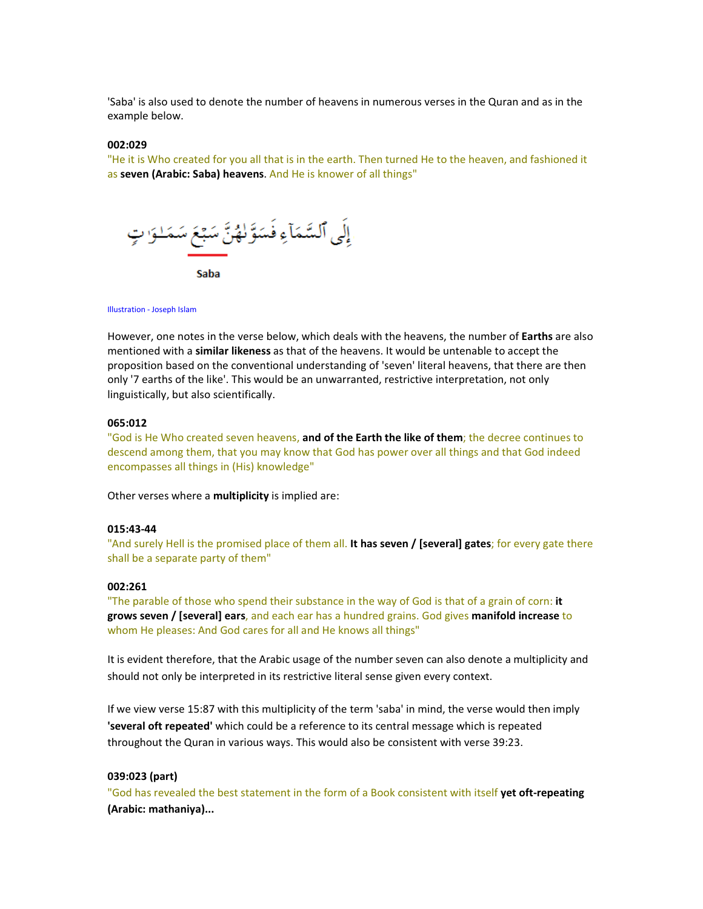'Saba' is also used to denote the number of heavens in numerous verses in the Quran and as in the example below.

#### 002:029

"He it is Who created for you all that is in the earth. Then turned He to the heaven, and fashioned it as seven (Arabic: Saba) heavens. And He is knower of all things"



#### Illustration - Joseph Islam

However, one notes in the verse below, which deals with the heavens, the number of Earths are also mentioned with a **similar likeness** as that of the heavens. It would be untenable to accept the proposition based on the conventional understanding of 'seven' literal heavens, that there are then only '7 earths of the like'. This would be an unwarranted, restrictive interpretation, not only linguistically, but also scientifically.

# 065:012

"God is He Who created seven heavens, and of the Earth the like of them; the decree continues to descend among them, that you may know that God has power over all things and that God indeed encompasses all things in (His) knowledge"

Other verses where a multiplicity is implied are:

#### 015:43-44

"And surely Hell is the promised place of them all. It has seven / [several] gates; for every gate there shall be a separate party of them"

### 002:261

"The parable of those who spend their substance in the way of God is that of a grain of corn: it grows seven / [several] ears, and each ear has a hundred grains. God gives manifold increase to whom He pleases: And God cares for all and He knows all things"

It is evident therefore, that the Arabic usage of the number seven can also denote a multiplicity and should not only be interpreted in its restrictive literal sense given every context.

If we view verse 15:87 with this multiplicity of the term 'saba' in mind, the verse would then imply 'several oft repeated' which could be a reference to its central message which is repeated throughout the Quran in various ways. This would also be consistent with verse 39:23.

#### 039:023 (part)

"God has revealed the best statement in the form of a Book consistent with itself **vet oft-repeating** (Arabic: mathaniya)...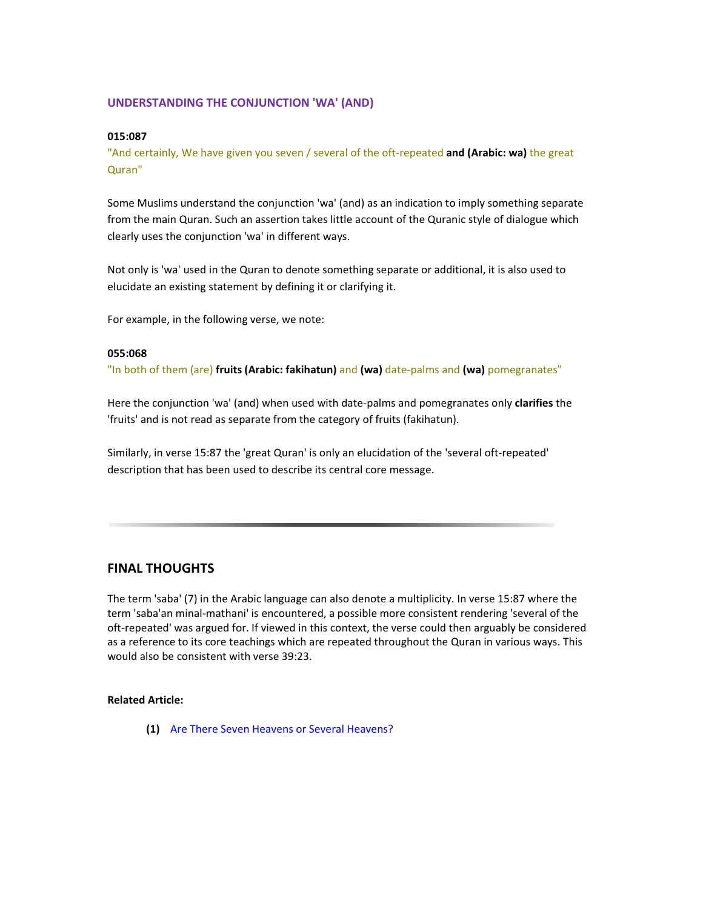# UNDERSTANDING THE CONJUNCTION 'WA' (AND)

#### 015:087

"And certainly, We have given you seven / several of the oft-repeated and (Arabic: wa) the great Quran"

Some Muslims understand the conjunction 'wa' (and) as an indication to imply something separate from the main Quran. Such an assertion takes little account of the Quranic style of dialogue which clearly uses the conjunction 'wa' in different ways.

Not only is 'wa' used in the Quran to denote something separate or additional, it is also used to elucidate an existing statement by defining it or clarifying it.

For example, in the following verse, we note:

# 055:068

"In both of them (are) fruits (Arabic: fakihatun) and (wa) date-palms and (wa) pomegranates"

Here the conjunction 'wa' (and) when used with date-palms and pomegranates only clarifies the 'fruits' and is not read as separate from the category of fruits (fakihatun).

Similarly, in verse 15:87 the 'great Quran' is only an elucidation of the 'several oft-repeated' description that has been used to describe its central core message.

# FINAL THOUGHTS

The term 'saba' (7) in the Arabic language can also denote a multiplicity. In verse 15:87 where the term 'saba'an minal-mathani' is encountered, a possible more consistent rendering 'several of the oft-repeated' was argued for. If viewed in this context, the verse could then arguably be considered as a reference to its core teachings which are repeated throughout the Quran in various ways. This would also be consistent with verse 39:23.

### Related Article:

(1) Are There Seven Heavens or Several Heavens?